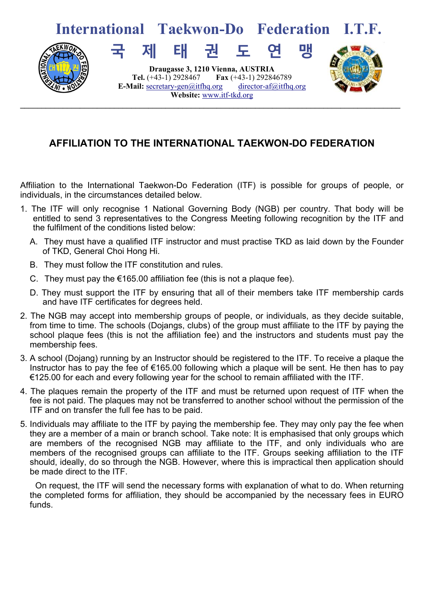## **International Taekwon-Do Federation**



**Draugasse 3, 1210 Vienna, AUSTRIA Tel.** (+43-1) 2928467 **Fax** (+43-1) 292846789 **E-Mail:**  $\frac{\text{secretary-gen}(a)\text{itfhq.org}}{\text{director-aff}(a)\text{itfhq.org}}$ **Website:** www.itf-tkd.org  $\mathcal{L}_\mathcal{L} = \{ \mathcal{L}_\mathcal{L} = \{ \mathcal{L}_\mathcal{L} = \{ \mathcal{L}_\mathcal{L} = \{ \mathcal{L}_\mathcal{L} = \{ \mathcal{L}_\mathcal{L} = \{ \mathcal{L}_\mathcal{L} = \{ \mathcal{L}_\mathcal{L} = \{ \mathcal{L}_\mathcal{L} = \{ \mathcal{L}_\mathcal{L} = \{ \mathcal{L}_\mathcal{L} = \{ \mathcal{L}_\mathcal{L} = \{ \mathcal{L}_\mathcal{L} = \{ \mathcal{L}_\mathcal{L} = \{ \mathcal{L}_\mathcal{$ 

**국 제 태 권 도 연 맹**



## **AFFILIATION TO THE INTERNATIONAL TAEKWON-DO FEDERATION**

Affiliation to the International Taekwon-Do Federation (ITF) is possible for groups of people, or individuals, in the circumstances detailed below.

- 1. The ITF will only recognise 1 National Governing Body (NGB) per country. That body will be entitled to send 3 representatives to the Congress Meeting following recognition by the ITF and the fulfilment of the conditions listed below:
	- A. They must have a qualified ITF instructor and must practise TKD as laid down by the Founder of TKD, General Choi Hong Hi.
	- B. They must follow the ITF constitution and rules.
	- C. They must pay the  $€165.00$  affiliation fee (this is not a plaque fee).
	- D. They must support the ITF by ensuring that all of their members take ITF membership cards and have ITF certificates for degrees held.
- 2. The NGB may accept into membership groups of people, or individuals, as they decide suitable, from time to time. The schools (Dojangs, clubs) of the group must affiliate to the ITF by paying the school plaque fees (this is not the affiliation fee) and the instructors and students must pay the membership fees.
- 3. A school (Dojang) running by an Instructor should be registered to the ITF. To receive a plaque the Instructor has to pay the fee of €165.00 following which a plaque will be sent. He then has to pay €125.00 for each and every following year for the school to remain affiliated with the ITF.
- 4. The plaques remain the property of the ITF and must be returned upon request of ITF when the fee is not paid. The plaques may not be transferred to another school without the permission of the ITF and on transfer the full fee has to be paid.
- 5. Individuals may affiliate to the ITF by paying the membership fee. They may only pay the fee when they are a member of a main or branch school. Take note: It is emphasised that only groups which are members of the recognised NGB may affiliate to the ITF, and only individuals who are members of the recognised groups can affiliate to the ITF. Groups seeking affiliation to the ITF should, ideally, do so through the NGB. However, where this is impractical then application should be made direct to the ITF.

 On request, the ITF will send the necessary forms with explanation of what to do. When returning the completed forms for affiliation, they should be accompanied by the necessary fees in EURO funds.